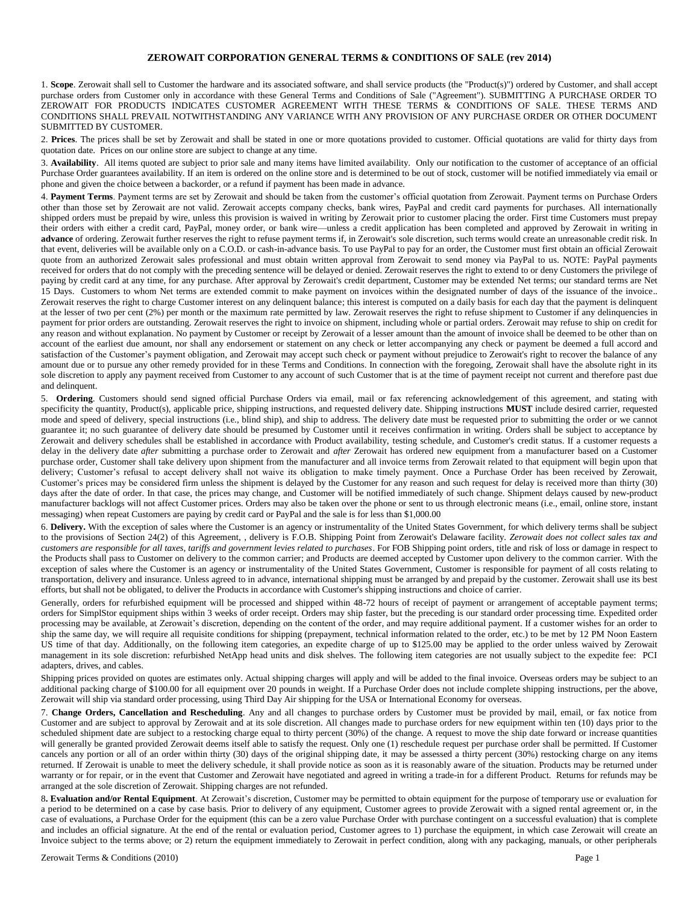## **ZEROWAIT CORPORATION GENERAL TERMS & CONDITIONS OF SALE (rev 2014)**

1. **Scope**. Zerowait shall sell to Customer the hardware and its associated software, and shall service products (the "Product(s)") ordered by Customer, and shall accept purchase orders from Customer only in accordance with these General Terms and Conditions of Sale ("Agreement"). SUBMITTING A PURCHASE ORDER TO ZEROWAIT FOR PRODUCTS INDICATES CUSTOMER AGREEMENT WITH THESE TERMS & CONDITIONS OF SALE. THESE TERMS AND CONDITIONS SHALL PREVAIL NOTWITHSTANDING ANY VARIANCE WITH ANY PROVISION OF ANY PURCHASE ORDER OR OTHER DOCUMENT SUBMITTED BY CUSTOMER.

2. **Prices**. The prices shall be set by Zerowait and shall be stated in one or more quotations provided to customer. Official quotations are valid for thirty days from quotation date. Prices on our online store are subject to change at any time.

3. **Availability**. All items quoted are subject to prior sale and many items have limited availability. Only our notification to the customer of acceptance of an official Purchase Order guarantees availability. If an item is ordered on the online store and is determined to be out of stock, customer will be notified immediately via email or phone and given the choice between a backorder, or a refund if payment has been made in advance.

4. **Payment Terms**. Payment terms are set by Zerowait and should be taken from the customer's official quotation from Zerowait. Payment terms on Purchase Orders other than those set by Zerowait are not valid. Zerowait accepts company checks, bank wires, PayPal and credit card payments for purchases. All internationally shipped orders must be prepaid by wire, unless this provision is waived in writing by Zerowait prior to customer placing the order. First time Customers must prepay their orders with either a credit card, PayPal, money order, or bank wire—unless a credit application has been completed and approved by Zerowait in writing in advance of ordering. Zerowait further reserves the right to refuse payment terms if, in Zerowait's sole discretion, such terms would create an unreasonable credit risk. In that event, deliveries will be available only on a C.O.D. or cash-in-advance basis. To use PayPal to pay for an order, the Customer must first obtain an official Zerowait quote from an authorized Zerowait sales professional and must obtain written approval from Zerowait to send money via PayPal to us. NOTE: PayPal payments received for orders that do not comply with the preceding sentence will be delayed or denied. Zerowait reserves the right to extend to or deny Customers the privilege of paying by credit card at any time, for any purchase. After approval by Zerowait's credit department, Customer may be extended Net terms; our standard terms are Net 15 Days. Customers to whom Net terms are extended commit to make payment on invoices within the designated number of days of the issuance of the invoice.. Zerowait reserves the right to charge Customer interest on any delinquent balance; this interest is computed on a daily basis for each day that the payment is delinquent at the lesser of two per cent (2%) per month or the maximum rate permitted by law. Zerowait reserves the right to refuse shipment to Customer if any delinquencies in payment for prior orders are outstanding. Zerowait reserves the right to invoice on shipment, including whole or partial orders. Zerowait may refuse to ship on credit for any reason and without explanation. No payment by Customer or receipt by Zerowait of a lesser amount than the amount of invoice shall be deemed to be other than on account of the earliest due amount, nor shall any endorsement or statement on any check or letter accompanying any check or payment be deemed a full accord and satisfaction of the Customer's payment obligation, and Zerowait may accept such check or payment without prejudice to Zerowait's right to recover the balance of any amount due or to pursue any other remedy provided for in these Terms and Conditions. In connection with the foregoing, Zerowait shall have the absolute right in its sole discretion to apply any payment received from Customer to any account of such Customer that is at the time of payment receipt not current and therefore past due and delinquent.

5. **Ordering**. Customers should send signed official Purchase Orders via email, mail or fax referencing acknowledgement of this agreement, and stating with specificity the quantity, Product(s), applicable price, shipping instructions, and requested delivery date. Shipping instructions **MUST** include desired carrier, requested mode and speed of delivery, special instructions (i.e., blind ship), and ship to address. The delivery date must be requested prior to submitting the order or we cannot guarantee it; no such guarantee of delivery date should be presumed by Customer until it receives confirmation in writing. Orders shall be subject to acceptance by Zerowait and delivery schedules shall be established in accordance with Product availability, testing schedule, and Customer's credit status. If a customer requests a delay in the delivery date *after* submitting a purchase order to Zerowait and *after* Zerowait has ordered new equipment from a manufacturer based on a Customer purchase order, Customer shall take delivery upon shipment from the manufacturer and all invoice terms from Zerowait related to that equipment will begin upon that delivery; Customer's refusal to accept delivery shall not waive its obligation to make timely payment. Once a Purchase Order has been received by Zerowait, Customer's prices may be considered firm unless the shipment is delayed by the Customer for any reason and such request for delay is received more than thirty (30) days after the date of order. In that case, the prices may change, and Customer will be notified immediately of such change. Shipment delays caused by new-product manufacturer backlogs will not affect Customer prices. Orders may also be taken over the phone or sent to us through electronic means (i.e., email, online store, instant messaging) when repeat Customers are paying by credit card or PayPal and the sale is for less than \$1,000.00

6. **Delivery.** With the exception of sales where the Customer is an agency or instrumentality of the United States Government, for which delivery terms shall be subject to the provisions of Section 24(2) of this Agreement, , delivery is F.O.B. Shipping Point from Zerowait's Delaware facility. *Zerowait does not collect sales tax and customers are responsible for all taxes, tariffs and government levies related to purchases*. For FOB Shipping point orders, title and risk of loss or damage in respect to the Products shall pass to Customer on delivery to the common carrier; and Products are deemed accepted by Customer upon delivery to the common carrier. With the exception of sales where the Customer is an agency or instrumentality of the United States Government, Customer is responsible for payment of all costs relating to transportation, delivery and insurance. Unless agreed to in advance, international shipping must be arranged by and prepaid by the customer. Zerowait shall use its best efforts, but shall not be obligated, to deliver the Products in accordance with Customer's shipping instructions and choice of carrier.

Generally, orders for refurbished equipment will be processed and shipped within 48-72 hours of receipt of payment or arrangement of acceptable payment terms; orders for SimplStor equipment ships within 3 weeks of order receipt. Orders may ship faster, but the preceding is our standard order processing time. Expedited order processing may be available, at Zerowait's discretion, depending on the content of the order, and may require additional payment. If a customer wishes for an order to ship the same day, we will require all requisite conditions for shipping (prepayment, technical information related to the order, etc.) to be met by 12 PM Noon Eastern US time of that day. Additionally, on the following item categories, an expedite charge of up to \$125.00 may be applied to the order unless waived by Zerowait management in its sole discretion: refurbished NetApp head units and disk shelves. The following item categories are not usually subject to the expedite fee: PCI adapters, drives, and cables.

Shipping prices provided on quotes are estimates only. Actual shipping charges will apply and will be added to the final invoice. Overseas orders may be subject to an additional packing charge of \$100.00 for all equipment over 20 pounds in weight. If a Purchase Order does not include complete shipping instructions, per the above, Zerowait will ship via standard order processing, using Third Day Air shipping for the USA or International Economy for overseas.

7. **Change Orders, Cancellation and Rescheduling**. Any and all changes to purchase orders by Customer must be provided by mail, email, or fax notice from Customer and are subject to approval by Zerowait and at its sole discretion. All changes made to purchase orders for new equipment within ten (10) days prior to the scheduled shipment date are subject to a restocking charge equal to thirty percent (30%) of the change. A request to move the ship date forward or increase quantities will generally be granted provided Zerowait deems itself able to satisfy the request. Only one (1) reschedule request per purchase order shall be permitted. If Customer cancels any portion or all of an order within thirty (30) days of the original shipping date, it may be assessed a thirty percent (30%) restocking charge on any items returned. If Zerowait is unable to meet the delivery schedule, it shall provide notice as soon as it is reasonably aware of the situation. Products may be returned under warranty or for repair, or in the event that Customer and Zerowait have negotiated and agreed in writing a trade-in for a different Product. Returns for refunds may be arranged at the sole discretion of Zerowait. Shipping charges are not refunded.

8**. Evaluation and/or Rental Equipment**. At Zerowait's discretion, Customer may be permitted to obtain equipment for the purpose of temporary use or evaluation for a period to be determined on a case by case basis. Prior to delivery of any equipment, Customer agrees to provide Zerowait with a signed rental agreement or, in the case of evaluations, a Purchase Order for the equipment (this can be a zero value Purchase Order with purchase contingent on a successful evaluation) that is complete and includes an official signature. At the end of the rental or evaluation period, Customer agrees to 1) purchase the equipment, in which case Zerowait will create an Invoice subject to the terms above; or 2) return the equipment immediately to Zerowait in perfect condition, along with any packaging, manuals, or other peripherals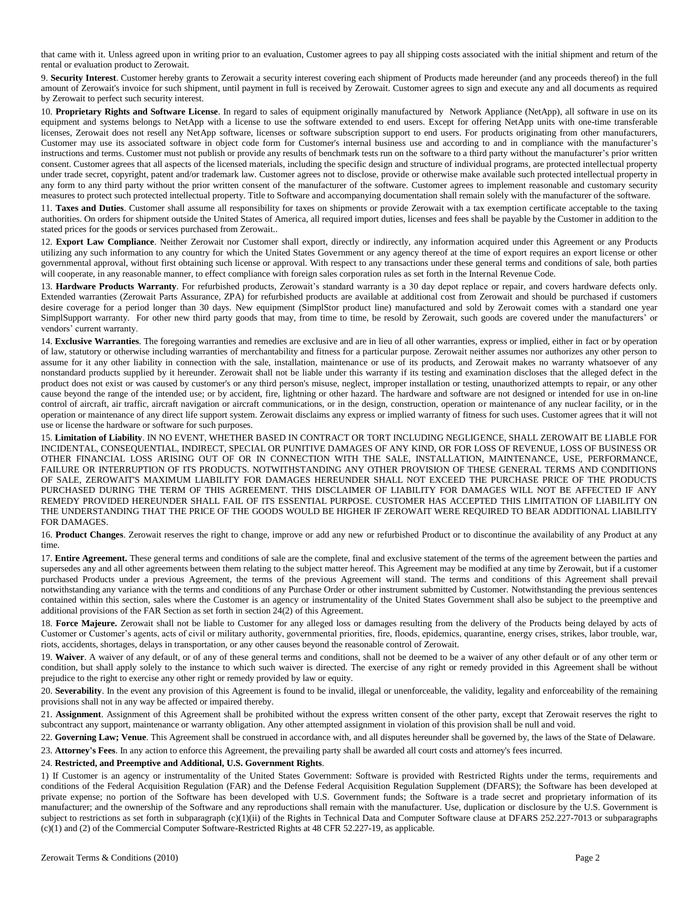that came with it. Unless agreed upon in writing prior to an evaluation, Customer agrees to pay all shipping costs associated with the initial shipment and return of the rental or evaluation product to Zerowait.

9. **Security Interest**. Customer hereby grants to Zerowait a security interest covering each shipment of Products made hereunder (and any proceeds thereof) in the full amount of Zerowait's invoice for such shipment, until payment in full is received by Zerowait. Customer agrees to sign and execute any and all documents as required by Zerowait to perfect such security interest.

10. **Proprietary Rights and Software License**. In regard to sales of equipment originally manufactured by Network Appliance (NetApp), all software in use on its equipment and systems belongs to NetApp with a license to use the software extended to end users. Except for offering NetApp units with one-time transferable licenses, Zerowait does not resell any NetApp software, licenses or software subscription support to end users. For products originating from other manufacturers, Customer may use its associated software in object code form for Customer's internal business use and according to and in compliance with the manufacturer's instructions and terms. Customer must not publish or provide any results of benchmark tests run on the software to a third party without the manufacturer's prior written consent. Customer agrees that all aspects of the licensed materials, including the specific design and structure of individual programs, are protected intellectual property under trade secret, copyright, patent and/or trademark law. Customer agrees not to disclose, provide or otherwise make available such protected intellectual property in any form to any third party without the prior written consent of the manufacturer of the software. Customer agrees to implement reasonable and customary security measures to protect such protected intellectual property. Title to Software and accompanying documentation shall remain solely with the manufacturer of the software.

11. **Taxes and Duties**. Customer shall assume all responsibility for taxes on shipments or provide Zerowait with a tax exemption certificate acceptable to the taxing authorities. On orders for shipment outside the United States of America, all required import duties, licenses and fees shall be payable by the Customer in addition to the stated prices for the goods or services purchased from Zerowait..

12. **Export Law Compliance**. Neither Zerowait nor Customer shall export, directly or indirectly, any information acquired under this Agreement or any Products utilizing any such information to any country for which the United States Government or any agency thereof at the time of export requires an export license or other governmental approval, without first obtaining such license or approval. With respect to any transactions under these general terms and conditions of sale, both parties will cooperate, in any reasonable manner, to effect compliance with foreign sales corporation rules as set forth in the Internal Revenue Code.

13. **Hardware Products Warranty**. For refurbished products, Zerowait's standard warranty is a 30 day depot replace or repair, and covers hardware defects only. Extended warranties (Zerowait Parts Assurance, ZPA) for refurbished products are available at additional cost from Zerowait and should be purchased if customers desire coverage for a period longer than 30 days. New equipment (SimplStor product line) manufactured and sold by Zerowait comes with a standard one year SimplSupport warranty. For other new third party goods that may, from time to time, be resold by Zerowait, such goods are covered under the manufacturers' or vendors' current warranty.

14. **Exclusive Warranties**. The foregoing warranties and remedies are exclusive and are in lieu of all other warranties, express or implied, either in fact or by operation of law, statutory or otherwise including warranties of merchantability and fitness for a particular purpose. Zerowait neither assumes nor authorizes any other person to assume for it any other liability in connection with the sale, installation, maintenance or use of its products, and Zerowait makes no warranty whatsoever of any nonstandard products supplied by it hereunder. Zerowait shall not be liable under this warranty if its testing and examination discloses that the alleged defect in the product does not exist or was caused by customer's or any third person's misuse, neglect, improper installation or testing, unauthorized attempts to repair, or any other cause beyond the range of the intended use; or by accident, fire, lightning or other hazard. The hardware and software are not designed or intended for use in on-line control of aircraft, air traffic, aircraft navigation or aircraft communications, or in the design, construction, operation or maintenance of any nuclear facility, or in the operation or maintenance of any direct life support system. Zerowait disclaims any express or implied warranty of fitness for such uses. Customer agrees that it will not use or license the hardware or software for such purposes.

15. **Limitation of Liability**. IN NO EVENT, WHETHER BASED IN CONTRACT OR TORT INCLUDING NEGLIGENCE, SHALL ZEROWAIT BE LIABLE FOR INCIDENTAL, CONSEQUENTIAL, INDIRECT, SPECIAL OR PUNITIVE DAMAGES OF ANY KIND, OR FOR LOSS OF REVENUE, LOSS OF BUSINESS OR OTHER FINANCIAL LOSS ARISING OUT OF OR IN CONNECTION WITH THE SALE, INSTALLATION, MAINTENANCE, USE, PERFORMANCE, FAILURE OR INTERRUPTION OF ITS PRODUCTS. NOTWITHSTANDING ANY OTHER PROVISION OF THESE GENERAL TERMS AND CONDITIONS OF SALE, ZEROWAIT'S MAXIMUM LIABILITY FOR DAMAGES HEREUNDER SHALL NOT EXCEED THE PURCHASE PRICE OF THE PRODUCTS PURCHASED DURING THE TERM OF THIS AGREEMENT. THIS DISCLAIMER OF LIABILITY FOR DAMAGES WILL NOT BE AFFECTED IF ANY REMEDY PROVIDED HEREUNDER SHALL FAIL OF ITS ESSENTIAL PURPOSE. CUSTOMER HAS ACCEPTED THIS LIMITATION OF LIABILITY ON THE UNDERSTANDING THAT THE PRICE OF THE GOODS WOULD BE HIGHER IF ZEROWAIT WERE REQUIRED TO BEAR ADDITIONAL LIABILITY FOR DAMAGES.

16. **Product Changes**. Zerowait reserves the right to change, improve or add any new or refurbished Product or to discontinue the availability of any Product at any time.

17. **Entire Agreement.** These general terms and conditions of sale are the complete, final and exclusive statement of the terms of the agreement between the parties and supersedes any and all other agreements between them relating to the subject matter hereof. This Agreement may be modified at any time by Zerowait, but if a customer purchased Products under a previous Agreement, the terms of the previous Agreement will stand. The terms and conditions of this Agreement shall prevail notwithstanding any variance with the terms and conditions of any Purchase Order or other instrument submitted by Customer. Notwithstanding the previous sentences contained within this section, sales where the Customer is an agency or instrumentality of the United States Government shall also be subject to the preemptive and additional provisions of the FAR Section as set forth in section 24(2) of this Agreement.

18. Force Majeure. Zerowait shall not be liable to Customer for any alleged loss or damages resulting from the delivery of the Products being delayed by acts of Customer or Customer's agents, acts of civil or military authority, governmental priorities, fire, floods, epidemics, quarantine, energy crises, strikes, labor trouble, war, riots, accidents, shortages, delays in transportation, or any other causes beyond the reasonable control of Zerowait.

19. **Waiver**. A waiver of any default, or of any of these general terms and conditions, shall not be deemed to be a waiver of any other default or of any other term or condition, but shall apply solely to the instance to which such waiver is directed. The exercise of any right or remedy provided in this Agreement shall be without prejudice to the right to exercise any other right or remedy provided by law or equity.

20. Severability. In the event any provision of this Agreement is found to be invalid, illegal or unenforceable, the validity, legality and enforceability of the remaining provisions shall not in any way be affected or impaired thereby.

21. **Assignment**. Assignment of this Agreement shall be prohibited without the express written consent of the other party, except that Zerowait reserves the right to subcontract any support, maintenance or warranty obligation. Any other attempted assignment in violation of this provision shall be null and void.

22. **Governing Law; Venue**. This Agreement shall be construed in accordance with, and all disputes hereunder shall be governed by, the laws of the State of Delaware.

23. **Attorney's Fees**. In any action to enforce this Agreement, the prevailing party shall be awarded all court costs and attorney's fees incurred.

## 24. **Restricted, and Preemptive and Additional, U.S. Government Rights**.

1) If Customer is an agency or instrumentality of the United States Government: Software is provided with Restricted Rights under the terms, requirements and conditions of the Federal Acquisition Regulation (FAR) and the Defense Federal Acquisition Regulation Supplement (DFARS); the Software has been developed at private expense; no portion of the Software has been developed with U.S. Government funds; the Software is a trade secret and proprietary information of its manufacturer; and the ownership of the Software and any reproductions shall remain with the manufacturer. Use, duplication or disclosure by the U.S. Government is subject to restrictions as set forth in subparagraph (c)(1)(ii) of the Rights in Technical Data and Computer Software clause at DFARS 252.227-7013 or subparagraphs (c)(1) and (2) of the Commercial Computer Software-Restricted Rights at 48 CFR 52.227-19, as applicable.